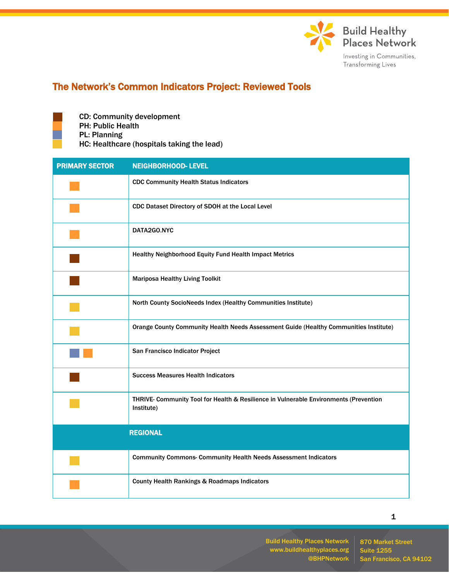

## The Network's Common Indicators Project: Reviewed Tools

CD: Community development PH: Public Health PL: Planning HC: Healthcare (hospitals taking the lead)

| <b>PRIMARY SECTOR</b> | <b>NEIGHBORHOOD- LEVEL</b>                                                                          |
|-----------------------|-----------------------------------------------------------------------------------------------------|
|                       | <b>CDC Community Health Status Indicators</b>                                                       |
|                       | CDC Dataset Directory of SDOH at the Local Level                                                    |
|                       | DATA2GO.NYC                                                                                         |
|                       | Healthy Neighborhood Equity Fund Health Impact Metrics                                              |
|                       | <b>Mariposa Healthy Living Toolkit</b>                                                              |
|                       | North County SocioNeeds Index (Healthy Communities Institute)                                       |
|                       | Orange County Community Health Needs Assessment Guide (Healthy Communities Institute)               |
|                       | San Francisco Indicator Project                                                                     |
|                       | <b>Success Measures Health Indicators</b>                                                           |
|                       | THRIVE- Community Tool for Health & Resilience in Vulnerable Environments (Prevention<br>Institute) |
|                       | <b>REGIONAL</b>                                                                                     |
|                       | <b>Community Commons- Community Health Needs Assessment Indicators</b>                              |
|                       | <b>County Health Rankings &amp; Roadmaps Indicators</b>                                             |

Build Healthy Places Network www.buildhealthyplaces.org @BHPNetwork